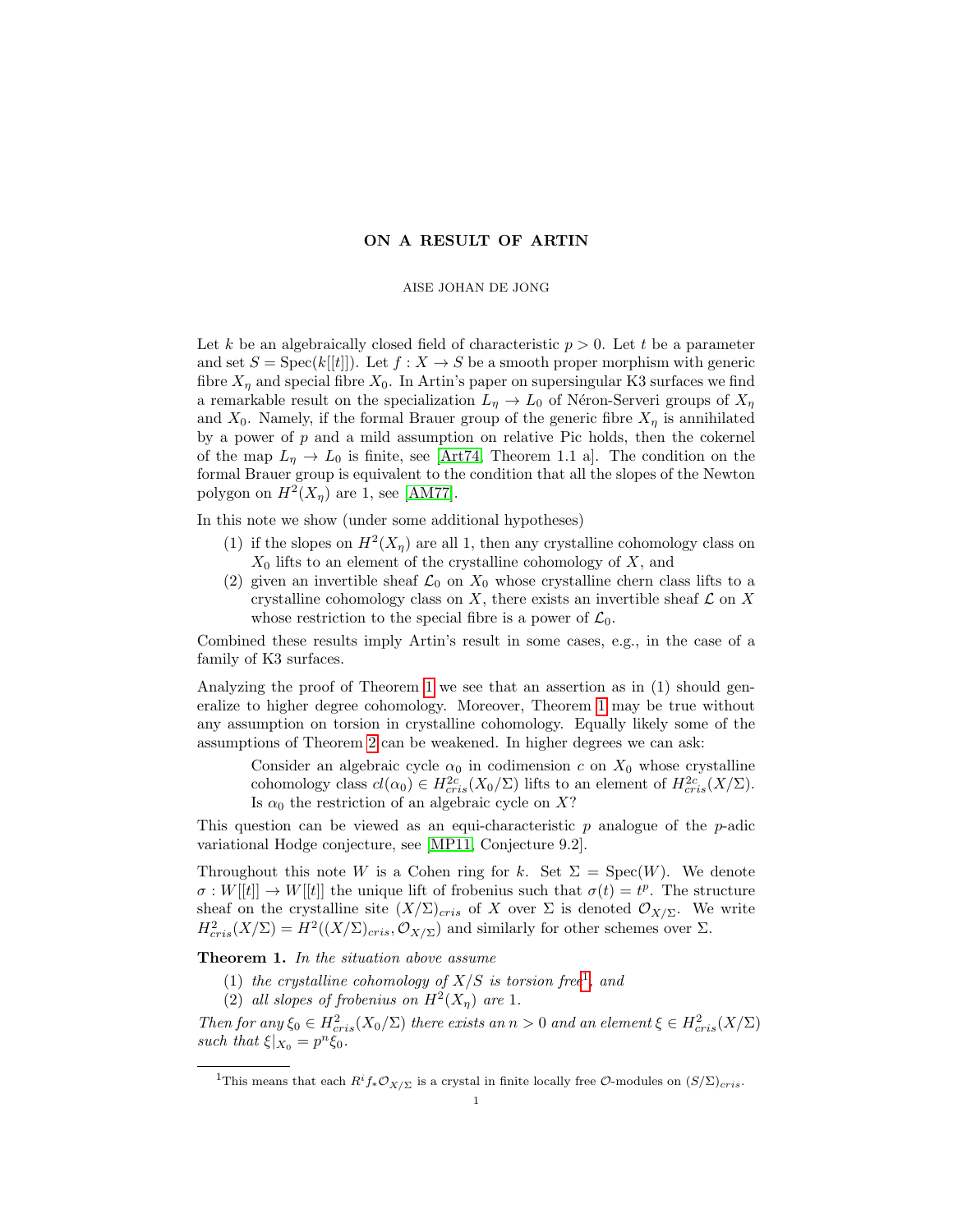## ON A RESULT OF ARTIN

## AISE JOHAN DE JONG

Let k be an algebraically closed field of characteristic  $p > 0$ . Let t be a parameter and set  $S = \text{Spec}(k[[t]])$ . Let  $f : X \to S$  be a smooth proper morphism with generic fibre  $X_n$  and special fibre  $X_0$ . In Artin's paper on supersingular K3 surfaces we find a remarkable result on the specialization  $L_{\eta} \to L_0$  of Néron-Serveri groups of  $X_{\eta}$ and  $X_0$ . Namely, if the formal Brauer group of the generic fibre  $X_n$  is annihilated by a power of  $p$  and a mild assumption on relative Pic holds, then the cokernel of the map  $L_{\eta} \to L_0$  is finite, see [\[Art74,](#page-2-0) Theorem 1.1 a]. The condition on the formal Brauer group is equivalent to the condition that all the slopes of the Newton polygon on  $H^2(X_\eta)$  are 1, see [\[AM77\]](#page-2-1).

In this note we show (under some additional hypotheses)

- (1) if the slopes on  $H^2(X_\eta)$  are all 1, then any crystalline cohomology class on  $X_0$  lifts to an element of the crystalline cohomology of  $X$ , and
- (2) given an invertible sheaf  $\mathcal{L}_0$  on  $X_0$  whose crystalline chern class lifts to a crystalline cohomology class on  $X$ , there exists an invertible sheaf  $\mathcal L$  on  $X$ whose restriction to the special fibre is a power of  $\mathcal{L}_0$ .

Combined these results imply Artin's result in some cases, e.g., in the case of a family of K3 surfaces.

Analyzing the proof of Theorem [1](#page-0-0) we see that an assertion as in (1) should generalize to higher degree cohomology. Moreover, Theorem [1](#page-0-0) may be true without any assumption on torsion in crystalline cohomology. Equally likely some of the assumptions of Theorem [2](#page-1-0) can be weakened. In higher degrees we can ask:

Consider an algebraic cycle  $\alpha_0$  in codimension c on  $X_0$  whose crystalline cohomology class  $cl(\alpha_0) \in H_{cris}^{2c}(X_0/\Sigma)$  lifts to an element of  $H_{cris}^{2c}(X/\Sigma)$ . Is  $\alpha_0$  the restriction of an algebraic cycle on X?

This question can be viewed as an equi-characteristic  $p$  analogue of the  $p$ -adic variational Hodge conjecture, see [\[MP11,](#page-2-2) Conjecture 9.2].

Throughout this note W is a Cohen ring for k. Set  $\Sigma = \text{Spec}(W)$ . We denote  $\sigma: W[[t]] \to W[[t]]$  the unique lift of frobenius such that  $\sigma(t) = t^p$ . The structure sheaf on the crystalline site  $(X/\Sigma)_{cris}$  of X over  $\Sigma$  is denoted  $\mathcal{O}_{X/\Sigma}$ . We write  $H^2_{cris}(X/\Sigma) = H^2((X/\Sigma)_{cris}, \mathcal{O}_{X/\Sigma})$  and similarly for other schemes over  $\Sigma$ .

<span id="page-0-0"></span>Theorem 1. In the situation above assume

- ([1](#page-0-1)) the crystalline cohomology of  $X/S$  is torsion free<sup>1</sup>, and
- (2) all slopes of frobenius on  $H^2(X_\eta)$  are 1.

Then for any  $\xi_0 \in H^2_{cris}(X_0/\Sigma)$  there exists an  $n > 0$  and an element  $\xi \in H^2_{cris}(X/\Sigma)$ such that  $\xi|_{X_0} = p^n \xi_0$ .

<span id="page-0-1"></span><sup>&</sup>lt;sup>1</sup>This means that each  $R^if_*\mathcal{O}_{X/\Sigma}$  is a crystal in finite locally free  $\mathcal{O}\text{-modules on } (S/\Sigma)_{cris}.$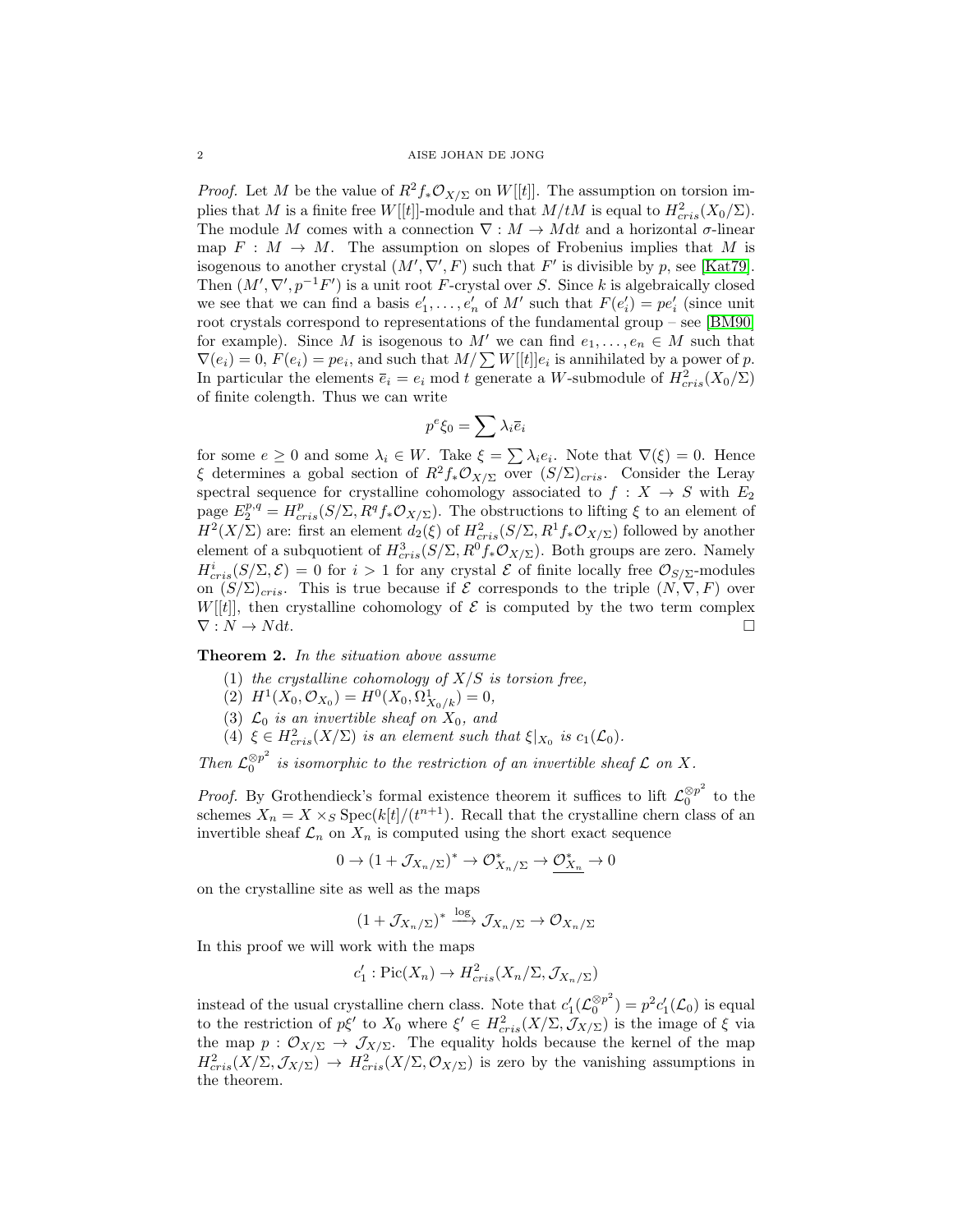*Proof.* Let M be the value of  $R^2f_*\mathcal{O}_{X/\Sigma}$  on W[[t]]. The assumption on torsion implies that M is a finite free  $W[[t]]$ -module and that  $M/tM$  is equal to  $H^2_{cris}(X_0/\Sigma)$ . The module M comes with a connection  $\nabla : M \to Mdt$  and a horizontal  $\sigma$ -linear map  $F : M \to M$ . The assumption on slopes of Frobenius implies that M is isogenous to another crystal  $(M', \nabla', F)$  such that F' is divisible by p, see [\[Kat79\]](#page-2-3). Then  $(M', \nabla', p^{-1}F')$  is a unit root F-crystal over S. Since k is algebraically closed we see that we can find a basis  $e'_1, \ldots, e'_n$  of M' such that  $F(e'_i) = pe'_i$  (since unit root crystals correspond to representations of the fundamental group – see [\[BM90\]](#page-2-4) for example). Since M is isogenous to M' we can find  $e_1, \ldots, e_n \in M$  such that  $\nabla(e_i) = 0, F(e_i) = pe_i$ , and such that  $M / \sum W[[t]]e_i$  is annihilated by a power of p. In particular the elements  $\overline{e}_i = e_i \mod t$  generate a W-submodule of  $H^2_{cris}(X_0/\Sigma)$ of finite colength. Thus we can write

$$
p^e\xi_0=\sum\lambda_i\overline{e}_i
$$

for some  $e \geq 0$  and some  $\lambda_i \in W$ . Take  $\xi = \sum \lambda_i e_i$ . Note that  $\nabla(\xi) = 0$ . Hence ξ determines a gobal section of  $R^2f_*\mathcal{O}_{X/\Sigma}$  over  $(S/\Sigma)_{cris}$ . Consider the Leray spectral sequence for crystalline cohomology associated to  $f : X \rightarrow S$  with  $E_2$ page  $E_2^{p,q} = H_{cris}^p(S/\Sigma, R^qf_*\mathcal{O}_{X/\Sigma})$ . The obstructions to lifting  $\xi$  to an element of  $H^2(X/\Sigma)$  are: first an element  $d_2(\xi)$  of  $H^2_{cris}(S/\Sigma,R^1f_*\mathcal{O}_{X/\Sigma})$  followed by another element of a subquotient of  $H^3_{cris}(S/\Sigma,R^0f_*\mathcal{O}_{X/\Sigma})$ . Both groups are zero. Namely  $H_{cris}^{i}(S/\Sigma,\mathcal{E})=0$  for  $i>1$  for any crystal  $\mathcal E$  of finite locally free  $\mathcal O_{S/\Sigma}$ -modules on  $(S/\Sigma)_{cris}$ . This is true because if  $\mathcal E$  corresponds to the triple  $(N, \nabla, F)$  over  $W[[t]]$ , then crystalline cohomology of  $\mathcal E$  is computed by the two term complex  $\nabla: N \to N \text{d}t.$ 

<span id="page-1-0"></span>Theorem 2. In the situation above assume

(1) the crystalline cohomology of  $X/S$  is torsion free,

(2)  $H^1(X_0, \mathcal{O}_{X_0}) = H^0(X_0, \Omega^1_{X_0/k}) = 0,$ 

- (3)  $\mathcal{L}_0$  is an invertible sheaf on  $X_0$ , and
- (4)  $\xi \in H^2_{cris}(X/\Sigma)$  is an element such that  $\xi|_{X_0}$  is  $c_1(\mathcal{L}_0)$ .

Then  $\mathcal{L}_0^{\otimes p^2}$  $\int_{0}^{\infty} p^{-}$  is isomorphic to the restriction of an invertible sheaf  $\mathcal L$  on X.

*Proof.* By Grothendieck's formal existence theorem it suffices to lift  $\mathcal{L}_0^{\otimes p^2}$  $_0^{\otimes p^-}$  to the schemes  $X_n = X \times_S \text{Spec}(k[t]/(t^{n+1})$ . Recall that the crystalline chern class of an invertible sheaf  $\mathcal{L}_n$  on  $X_n$  is computed using the short exact sequence

$$
0\to (1+\mathcal{J}_{X_n/\Sigma})^*\to \mathcal{O}_{X_n/\Sigma}^*\to \mathcal{O}_{X_n}^*\to 0
$$

on the crystalline site as well as the maps

$$
(1+\mathcal{J}_{X_n/\Sigma})^* \xrightarrow{\log} \mathcal{J}_{X_n/\Sigma} \to \mathcal{O}_{X_n/\Sigma}
$$

In this proof we will work with the maps

$$
c'_1: Pic(X_n) \to H^2_{cris}(X_n/\Sigma, \mathcal{J}_{X_n/\Sigma})
$$

instead of the usual crystalline chern class. Note that  $c_1'(\mathcal{L}_0^{\otimes p^2})$  $\binom{\otimes p^2}{0} = p^2 c'_1(\mathcal{L}_0)$  is equal to the restriction of  $p\xi'$  to  $X_0$  where  $\xi' \in H^2_{cris}(X/\Sigma, \mathcal{J}_{X/\Sigma})$  is the image of  $\xi$  via the map  $p : \mathcal{O}_{X/\Sigma} \to \mathcal{J}_{X/\Sigma}$ . The equality holds because the kernel of the map  $H^2_{cris}(X/\Sigma, \mathcal{J}_{X/\Sigma}) \to H^2_{cris}(X/\Sigma, \mathcal{O}_{X/\Sigma})$  is zero by the vanishing assumptions in the theorem.